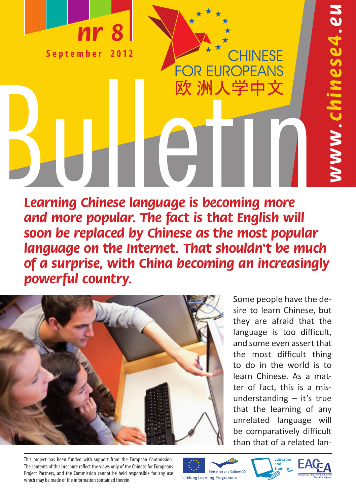

12564.6V

**CHINESE** 

**OR EUROPEANS** 

欧洲人学中文

**Learning Chinese language is becoming more and more popular. The fact is that English will soon be replaced by Chinese as the most popular language on the Internet. That shouldn't be much of a surprise, with China becoming an increasingly powerful country.**



Some people have the desire to learn Chinese, but they are afraid that the language is too difficult, and some even assert that the most difficult thing to do in the world is to learn Chinese. As a matter of fact, this is a misunderstanding – it's true that the learning of any unrelated language will be comparatively difficult than that of a related lan-

This project has been funded with support from the European Commission. The contents of this brochure reflect the views only of the Chinese for Europeans Project Partners, and the Commission cannot be held responsible for any use which may be made of the information contained therein.





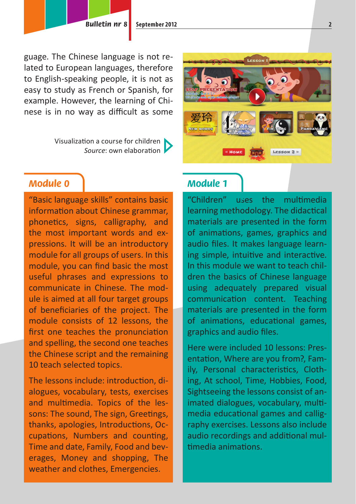guage. The Chinese language is not related to European languages, therefore to English-speaking people, it is not as easy to study as French or Spanish, for example. However, the learning of Chinese is in no way as difficult as some

> Visualization a course for children *Source*: own elaboration

# LESSON 2 »

## **Module 0**

"Basic language skills" contains basic information about Chinese grammar, phonetics, signs, calligraphy, and the most important words and expressions. It will be an introductory module for all groups of users. In this module, you can find basic the most useful phrases and expressions to communicate in Chinese. The module is aimed at all four target groups of beneficiaries of the project. The module consists of 12 lessons, the first one teaches the pronunciation and spelling, the second one teaches the Chinese script and the remaining 10 teach selected topics.

The lessons include: introduction, dialogues, vocabulary, tests, exercises and multimedia. Topics of the lessons: The sound, The sign, Greetings, thanks, apologies, Introductions, Occupations, Numbers and counting, Time and date, Family, Food and beverages, Money and shopping, The weather and clothes, Emergencies.

### **Module 1**

"Children" uses the multimedia learning methodology. The didactical materials are presented in the form of animations, games, graphics and audio files. It makes language learning simple, intuitive and interactive. In this module we want to teach children the basics of Chinese language using adequately prepared visual communication content. Teaching materials are presented in the form of animations, educational games, graphics and audio files.

Here were included 10 lessons: Presentation, Where are you from?, Family, Personal characteristics, Clothing, At school, Time, Hobbies, Food, Sightseeing the lessons consist of animated dialogues, vocabulary, multimedia educational games and calligraphy exercises. Lessons also include audio recordings and additional multimedia animations.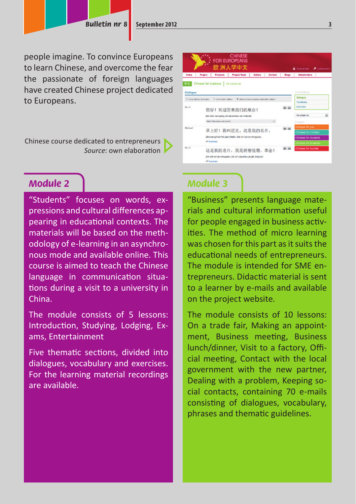people imagine. To convince Europeans to learn Chinese, and overcome the fear the passionate of foreign languages have created Chinese project dedicated to Europeans.

Chinese course dedicated to entrepreneurs *Source*: own elaboration

## **Module 2**

"Students" focuses on words, expressions and cultural differences appearing in educational contexts. The materials will be based on the methodology of e-learning in an asynchronous mode and available online. This course is aimed to teach the Chinese language in communication situations during a visit to a university in China.

The module consists of 5 lessons: Introduction, Studying, Lodging, Exams, Entertainment

Five thematic sections, divided into dialogues, vocabulary and exercises. For the learning material recordings are available.



#### **Module 3**

"Business" presents language materials and cultural information useful for people engaged in business activities. The method of micro learning was chosen for this part as it suits the educational needs of entrepreneurs. The module is intended for SME entrepreneurs. Didactic material is sent to a learner by e-mails and available on the project website.

The module consists of 10 lessons: On a trade fair, Making an appointment, Business meeting, Business lunch/dinner, Visit to a factory, Official meeting, Contact with the local government with the new partner, Dealing with a problem, Keeping social contacts, containing 70 e-mails consisting of dialogues, vocabulary, phrases and thematic guidelines.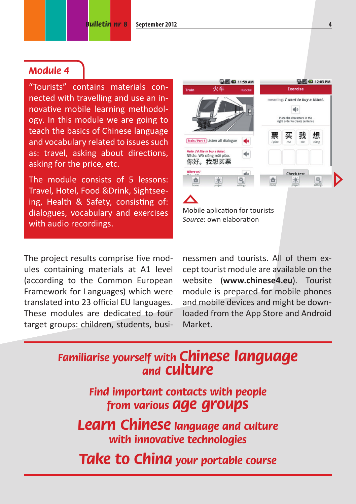#### **Module 4**

"Tourists" contains materials connected with travelling and use an innovative mobile learning methodology. In this module we are going to teach the basics of Chinese language and vocabulary related to issues such as: travel, asking about directions, asking for the price, etc.

The module consists of 5 lessons: Travel, Hotel, Food &Drink, Sightseeing, Health & Safety, consisting of: dialogues, vocabulary and exercises with audio recordings.

The project results comprise five modules containing materials at A1 level (according to the Common European Framework for Languages) which were translated into 23 official EU languages. These modules are dedicated to four target groups: children, students, businessmen and tourists. All of them except tourist module are available on the website (**www.chinese4.eu**). Tourist module is prepared for mobile phones and mobile devices and might be downloaded from the App Store and Android Market.

Mobile aplication for tourists *Source*: own elaboration

**WARTICE 11:59 AM** 

ø۵

allo.

東车

Train / Part 1 Listen all dialogue

Hello. Pd like to buy a ticket.<br>Nihão. Wō xiãng mãi piào.

你好。我想买票

A

Train

# **Familiarise yourself with Chinese language and culture**

**Find important contacts with people from various age groups**

**Learn Chinese language and culture with innovative technologies** 

**Take to China your portable course**

**EN TO 12:03 PM** 

Exercise meaning: I want to buy a ticket. alo .<br>Place the characters in the<br>ght order to create sentence

> 买 我 想

Check test

 $-0.$ 

烧

合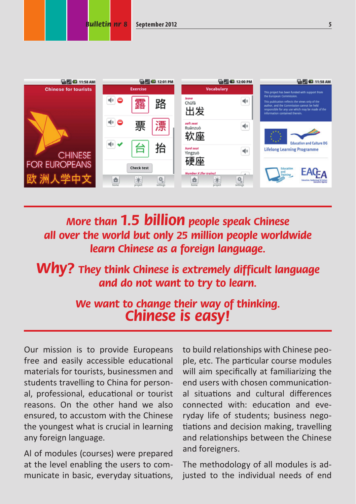

**More than 1.5 billion people speak Chinese all over the world but only 25 million people worldwide learn Chinese as a foreign language.**

# **Why? They think Chinese is extremely difficult language and do not want to try to learn.**

# **We want to change their way of thinking. Chinese is easy!**

Our mission is to provide Europeans free and easily accessible educational materials for tourists, businessmen and students travelling to China for personal, professional, educational or tourist reasons. On the other hand we also ensured, to accustom with the Chinese the youngest what is crucial in learning any foreign language.

Al of modules (courses) were prepared at the level enabling the users to communicate in basic, everyday situations, to build relationships with Chinese people, etc. The particular course modules will aim specifically at familiarizing the end users with chosen communicational situations and cultural differences connected with: education and everyday life of students; business negotiations and decision making, travelling and relationships between the Chinese and foreigners.

The methodology of all modules is adjusted to the individual needs of end